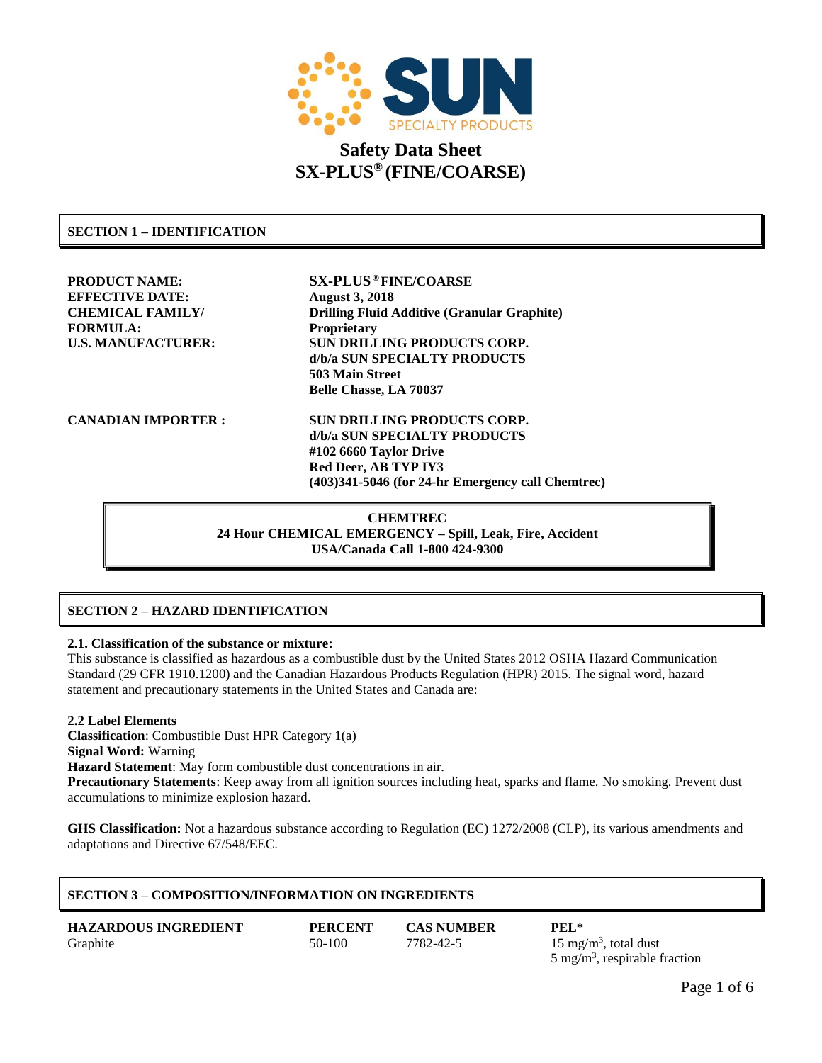

# **SECTION 1 – IDENTIFICATION**

**PRODUCT NAME: SX-PLUS ® FINE/COARSE EFFECTIVE DATE: August 3, 2018 FORMULA: Proprietary**

**CHEMICAL FAMILY/ Drilling Fluid Additive (Granular Graphite) U.S. MANUFACTURER: SUN DRILLING PRODUCTS CORP. d/b/a SUN SPECIALTY PRODUCTS 503 Main Street Belle Chasse, LA 70037**

**CANADIAN IMPORTER : SUN DRILLING PRODUCTS CORP. d/b/a SUN SPECIALTY PRODUCTS #102 6660 Taylor Drive Red Deer, AB TYP IY3 (403)341-5046 (for 24-hr Emergency call Chemtrec)**

> **CHEMTREC 24 Hour CHEMICAL EMERGENCY – Spill, Leak, Fire, Accident USA/Canada Call 1-800 424-9300**

# **SECTION 2 – HAZARD IDENTIFICATION**

### **2.1. Classification of the substance or mixture:**

This substance is classified as hazardous as a combustible dust by the United States 2012 OSHA Hazard Communication Standard (29 CFR 1910.1200) and the Canadian Hazardous Products Regulation (HPR) 2015. The signal word, hazard statement and precautionary statements in the United States and Canada are:

#### **2.2 Label Elements**

**Classification**: Combustible Dust HPR Category 1(a) **Signal Word:** Warning

**Hazard Statement**: May form combustible dust concentrations in air.

**Precautionary Statements**: Keep away from all ignition sources including heat, sparks and flame. No smoking. Prevent dust accumulations to minimize explosion hazard.

**GHS Classification:** Not a hazardous substance according to Regulation (EC) 1272/2008 (CLP), its various amendments and adaptations and Directive 67/548/EEC.

# **SECTION 3 – COMPOSITION/INFORMATION ON INGREDIENTS**

| <b>HAZARDOUS INGREDIENT</b> | <b>PERCENT</b> | <b>CAS NUMBER</b> | PEL*                                      |
|-----------------------------|----------------|-------------------|-------------------------------------------|
| Graphite                    | 50-100         | 7782-42-5         | 15 mg/m <sup>3</sup> , total dust         |
|                             |                |                   | 5 mg/m <sup>3</sup> , respirable fraction |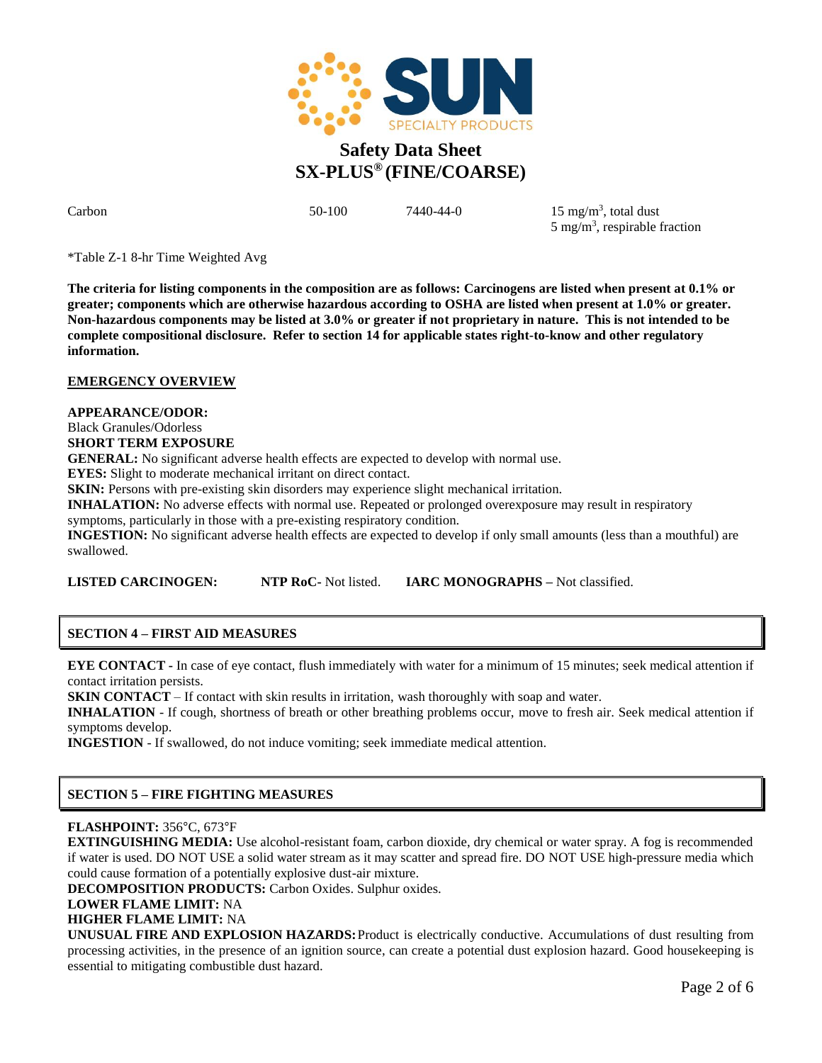

Carbon 50-100 7440-44-0 15 mg/m<sup>3</sup>  $15 \text{ mg/m}^3$ , total dust 5 mg/m<sup>3</sup>, respirable fraction

\*Table Z-1 8-hr Time Weighted Avg

**The criteria for listing components in the composition are as follows: Carcinogens are listed when present at 0.1% or greater; components which are otherwise hazardous according to OSHA are listed when present at 1.0% or greater. Non-hazardous components may be listed at 3.0% or greater if not proprietary in nature. This is not intended to be complete compositional disclosure. Refer to section 14 for applicable states right-to-know and other regulatory information.**

# **EMERGENCY OVERVIEW**

#### **APPEARANCE/ODOR:**

Black Granules/Odorless **SHORT TERM EXPOSURE**

**GENERAL:** No significant adverse health effects are expected to develop with normal use.

**EYES:** Slight to moderate mechanical irritant on direct contact.

**SKIN:** Persons with pre-existing skin disorders may experience slight mechanical irritation.

**INHALATION:** No adverse effects with normal use. Repeated or prolonged overexposure may result in respiratory

symptoms, particularly in those with a pre-existing respiratory condition.

**INGESTION:** No significant adverse health effects are expected to develop if only small amounts (less than a mouthful) are swallowed.

**LISTED CARCINOGEN: NTP RoC-** Not listed. **IARC MONOGRAPHS –** Not classified.

# **SECTION 4 – FIRST AID MEASURES**

**EYE CONTACT -** In case of eye contact, flush immediately with Water for a minimum of 15 minutes; seek medical attention if contact irritation persists.

**SKIN CONTACT** – If contact with skin results in irritation, wash thoroughly with soap and water.

**INHALATION** - If cough, shortness of breath or other breathing problems occur, move to fresh air. Seek medical attention if symptoms develop.

**INGESTION** - If swallowed, do not induce vomiting; seek immediate medical attention.

# **SECTION 5 – FIRE FIGHTING MEASURES**

# **FLASHPOINT:** 356°C, 673°F

**EXTINGUISHING MEDIA:** Use alcohol-resistant foam, carbon dioxide, dry chemical or water spray. A fog is recommended if water is used. DO NOT USE a solid water stream as it may scatter and spread fire. DO NOT USE high-pressure media which could cause formation of a potentially explosive dust-air mixture.

**DECOMPOSITION PRODUCTS:** Carbon Oxides. Sulphur oxides.

**LOWER FLAME LIMIT:** NA

**HIGHER FLAME LIMIT:** NA

**UNUSUAL FIRE AND EXPLOSION HAZARDS:** Product is electrically conductive. Accumulations of dust resulting from processing activities, in the presence of an ignition source, can create a potential dust explosion hazard. Good housekeeping is essential to mitigating combustible dust hazard.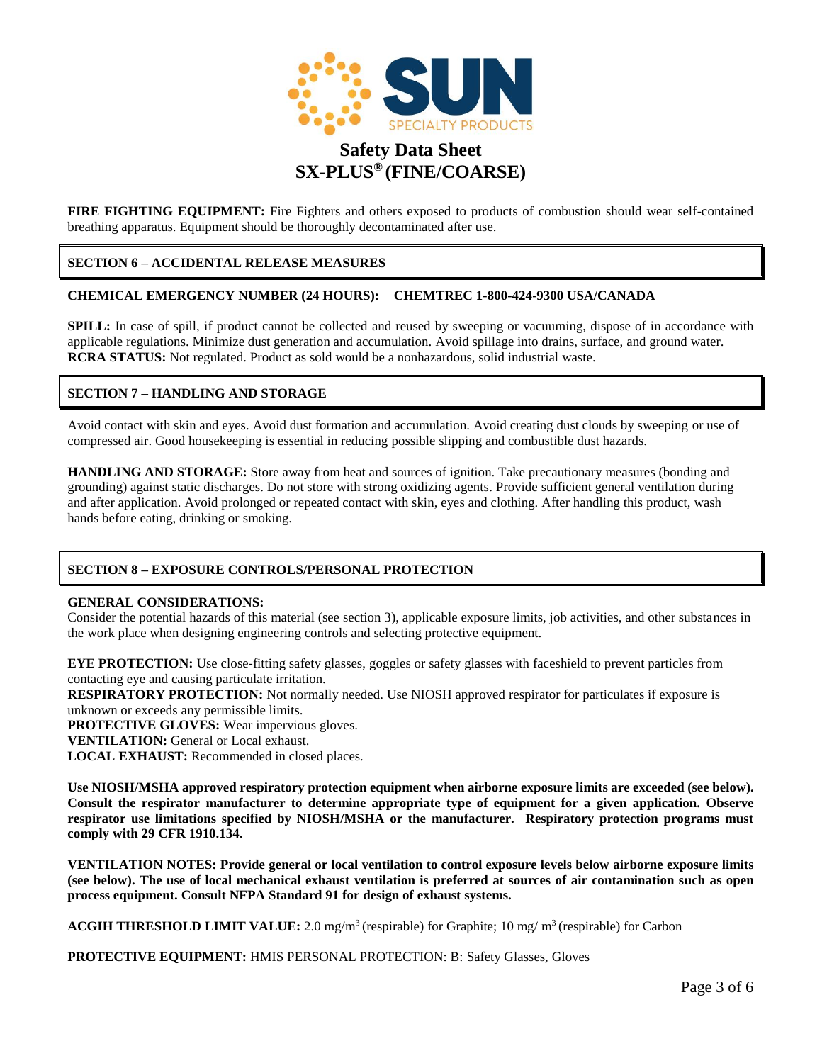

**FIRE FIGHTING EQUIPMENT:** Fire Fighters and others exposed to products of combustion should wear self-contained breathing apparatus. Equipment should be thoroughly decontaminated after use.

# **SECTION 6 – ACCIDENTAL RELEASE MEASURES**

#### **CHEMICAL EMERGENCY NUMBER (24 HOURS): CHEMTREC 1-800-424-9300 USA/CANADA**

**SPILL:** In case of spill, if product cannot be collected and reused by sweeping or vacuuming, dispose of in accordance with applicable regulations. Minimize dust generation and accumulation. Avoid spillage into drains, surface, and ground water. **RCRA STATUS:** Not regulated. Product as sold would be a nonhazardous, solid industrial waste.

# **SECTION 7 – HANDLING AND STORAGE**

Avoid contact with skin and eyes. Avoid dust formation and accumulation. Avoid creating dust clouds by sweeping or use of compressed air. Good housekeeping is essential in reducing possible slipping and combustible dust hazards.

**HANDLING AND STORAGE:** Store away from heat and sources of ignition. Take precautionary measures (bonding and grounding) against static discharges. Do not store with strong oxidizing agents. Provide sufficient general ventilation during and after application. Avoid prolonged or repeated contact with skin, eyes and clothing. After handling this product, wash hands before eating, drinking or smoking.

# **SECTION 8 – EXPOSURE CONTROLS/PERSONAL PROTECTION**

#### **GENERAL CONSIDERATIONS:**

Consider the potential hazards of this material (see section 3), applicable exposure limits, job activities, and other substances in the work place when designing engineering controls and selecting protective equipment.

**EYE PROTECTION:** Use close-fitting safety glasses, goggles or safety glasses with faceshield to prevent particles from contacting eye and causing particulate irritation.

**RESPIRATORY PROTECTION:** Not normally needed. Use NIOSH approved respirator for particulates if exposure is unknown or exceeds any permissible limits.

**PROTECTIVE GLOVES:** Wear impervious gloves.

**VENTILATION:** General or Local exhaust.

**LOCAL EXHAUST:** Recommended in closed places.

**Use NIOSH/MSHA approved respiratory protection equipment when airborne exposure limits are exceeded (see below). Consult the respirator manufacturer to determine appropriate type of equipment for a given application. Observe respirator use limitations specified by NIOSH/MSHA or the manufacturer. Respiratory protection programs must comply with 29 CFR 1910.134.**

**VENTILATION NOTES: Provide general or local ventilation to control exposure levels below airborne exposure limits (see below). The use of local mechanical exhaust ventilation is preferred at sources of air contamination such as open process equipment. Consult NFPA Standard 91 for design of exhaust systems.**

**ACGIH THRESHOLD LIMIT VALUE:** 2.0 mg/m<sup>3</sup>(respirable) for Graphite; 10 mg/ m<sup>3</sup>(respirable) for Carbon

**PROTECTIVE EQUIPMENT:** HMIS PERSONAL PROTECTION: B: Safety Glasses, Gloves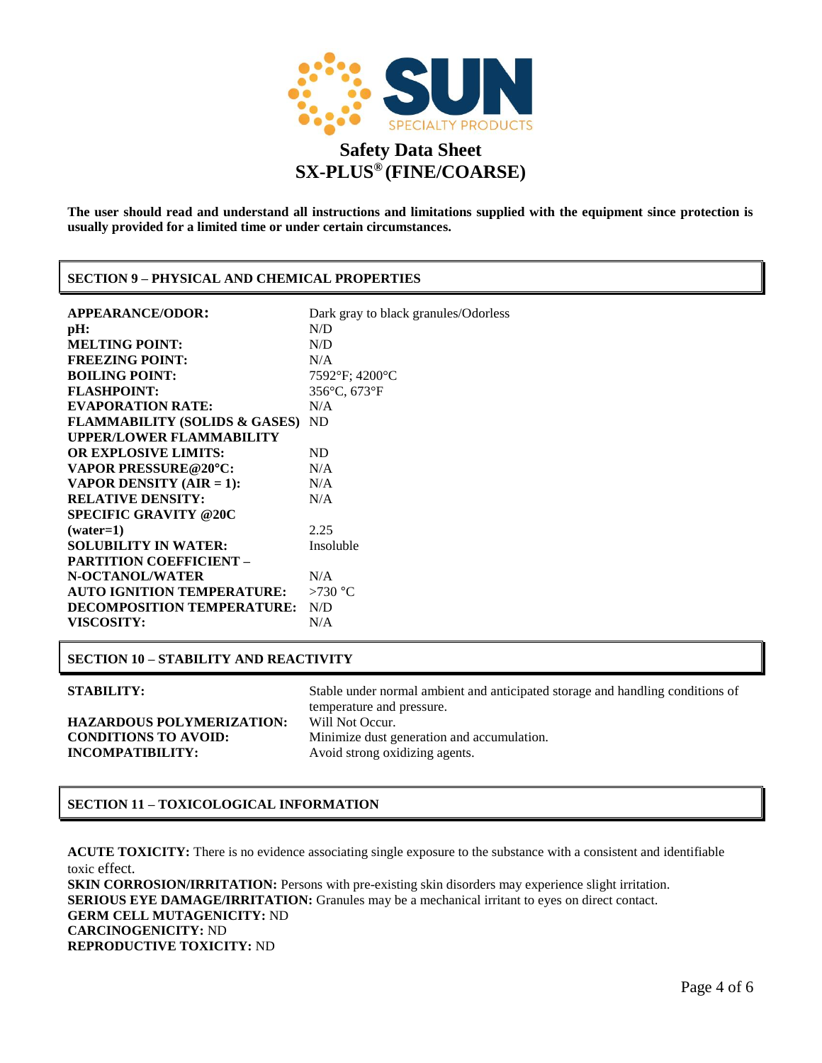

**The user should read and understand all instructions and limitations supplied with the equipment since protection is usually provided for a limited time or under certain circumstances.**

# **SECTION 9 – PHYSICAL AND CHEMICAL PROPERTIES**

| <b>APPEARANCE/ODOR:</b>                     | Dark gray to black granules/Odorless |
|---------------------------------------------|--------------------------------------|
| pH:                                         | N/D                                  |
| <b>MELTING POINT:</b>                       | N/D                                  |
| <b>FREEZING POINT:</b>                      | N/A                                  |
| <b>BOILING POINT:</b>                       | $7592$ °F; 4200°C                    |
| <b>FLASHPOINT:</b>                          | 356°C, 673°F                         |
| <b>EVAPORATION RATE:</b>                    | N/A                                  |
| <b>FLAMMABILITY (SOLIDS &amp; GASES) ND</b> |                                      |
| <b>UPPER/LOWER FLAMMABILITY</b>             |                                      |
| <b>OR EXPLOSIVE LIMITS:</b>                 | <b>ND</b>                            |
| <b>VAPOR PRESSURE@20°C:</b>                 | N/A                                  |
| VAPOR DENSITY (AIR = 1):                    | N/A                                  |
| <b>RELATIVE DENSITY:</b>                    | N/A                                  |
| <b>SPECIFIC GRAVITY @20C</b>                |                                      |
| $(water=1)$                                 | 2.25                                 |
| <b>SOLUBILITY IN WATER:</b>                 | Insoluble                            |
| <b>PARTITION COEFFICIENT -</b>              |                                      |
| N-OCTANOL/WATER                             | N/A                                  |
| <b>AUTO IGNITION TEMPERATURE:</b>           | $>730$ °C                            |
| <b>DECOMPOSITION TEMPERATURE:</b>           | N/D                                  |
| <b>VISCOSITY:</b>                           | N/A                                  |
|                                             |                                      |

### **SECTION 10 – STABILITY AND REACTIVITY**

**HAZARDOUS POLYMERIZATION:** Will Not Occur. **INCOMPATIBILITY:** Avoid strong oxidizing agents.

**STABILITY:** Stable under normal ambient and anticipated storage and handling conditions of temperature and pressure. **CONDITIONS TO AVOID:** Minimize dust generation and accumulation.

# **SECTION 11 – TOXICOLOGICAL INFORMATION**

**ACUTE TOXICITY:** There is no evidence associating single exposure to the substance with a consistent and identifiable toxic effect.

**SKIN CORROSION/IRRITATION:** Persons with pre-existing skin disorders may experience slight irritation. **SERIOUS EYE DAMAGE/IRRITATION:** Granules may be a mechanical irritant to eyes on direct contact. **GERM CELL MUTAGENICITY:** ND **CARCINOGENICITY:** ND **REPRODUCTIVE TOXICITY:** ND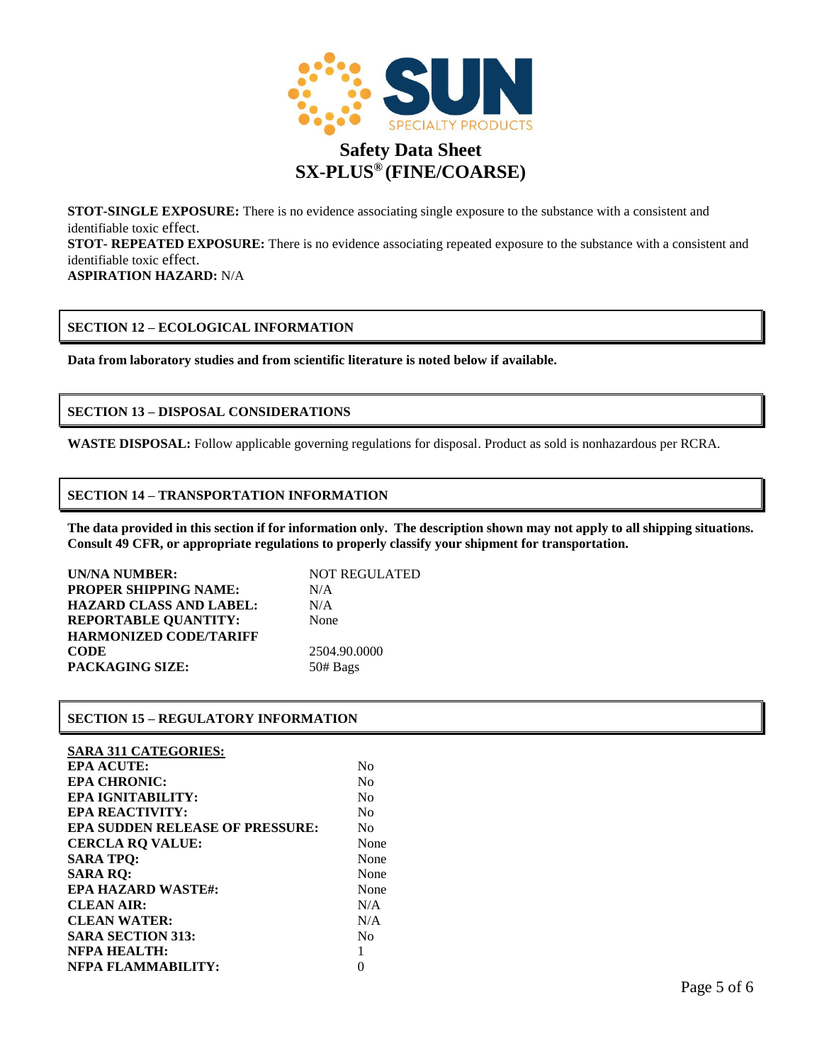

**STOT-SINGLE EXPOSURE:** There is no evidence associating single exposure to the substance with a consistent and identifiable toxic effect.

**STOT- REPEATED EXPOSURE:** There is no evidence associating repeated exposure to the substance with a consistent and identifiable toxic effect.

**ASPIRATION HAZARD:** N/A

# **SECTION 12 – ECOLOGICAL INFORMATION**

**Data from laboratory studies and from scientific literature is noted below if available.**

# **SECTION 13 – DISPOSAL CONSIDERATIONS**

**WASTE DISPOSAL:** Follow applicable governing regulations for disposal. Product as sold is nonhazardous per RCRA.

# **SECTION 14 – TRANSPORTATION INFORMATION**

**The data provided in this section if for information only. The description shown may not apply to all shipping situations. Consult 49 CFR, or appropriate regulations to properly classify your shipment for transportation.**

| UN/NA NUMBER:                  | <b>NOT REGULATED</b> |
|--------------------------------|----------------------|
| <b>PROPER SHIPPING NAME:</b>   | N/A                  |
| <b>HAZARD CLASS AND LABEL:</b> | N/A                  |
| <b>REPORTABLE OUANTITY:</b>    | None                 |
| <b>HARMONIZED CODE/TARIFF</b>  |                      |
| <b>CODE</b>                    | 2504.90.0000         |
| <b>PACKAGING SIZE:</b>         | 50# Bags             |

# **SECTION 15 – REGULATORY INFORMATION**

# **SARA 311 CATEGORIES:**

| <b>EPA ACUTE:</b>                      | No             |
|----------------------------------------|----------------|
| <b>EPA CHRONIC:</b>                    | N <sub>0</sub> |
| EPA IGNITABILITY:                      | N <sub>0</sub> |
| <b>EPA REACTIVITY:</b>                 | No             |
| <b>EPA SUDDEN RELEASE OF PRESSURE:</b> | No             |
| <b>CERCLA RQ VALUE:</b>                | None           |
| <b>SARA TPQ:</b>                       | None           |
| <b>SARA RQ:</b>                        | None           |
| <b>EPA HAZARD WASTE#:</b>              | None           |
| <b>CLEAN AIR:</b>                      | N/A            |
| <b>CLEAN WATER:</b>                    | N/A            |
| <b>SARA SECTION 313:</b>               | Nο             |
| <b>NFPA HEALTH:</b>                    |                |
| NFPA FLAMMABILITY:                     |                |